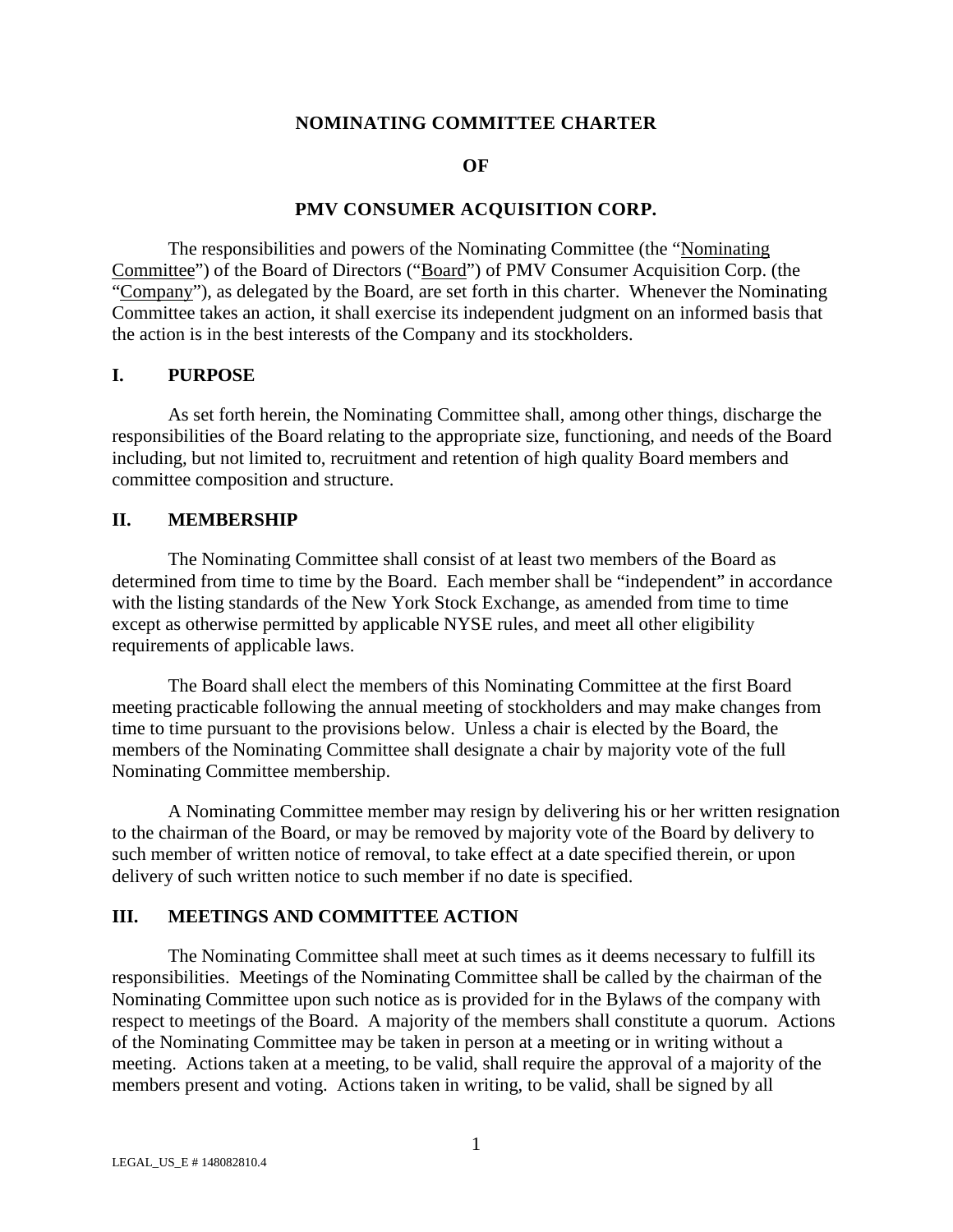### **NOMINATING COMMITTEE CHARTER**

#### **OF**

### **PMV CONSUMER ACQUISITION CORP.**

The responsibilities and powers of the Nominating Committee (the "Nominating Committee") of the Board of Directors ("Board") of PMV Consumer Acquisition Corp. (the "Company"), as delegated by the Board, are set forth in this charter. Whenever the Nominating Committee takes an action, it shall exercise its independent judgment on an informed basis that the action is in the best interests of the Company and its stockholders.

#### **I. PURPOSE**

As set forth herein, the Nominating Committee shall, among other things, discharge the responsibilities of the Board relating to the appropriate size, functioning, and needs of the Board including, but not limited to, recruitment and retention of high quality Board members and committee composition and structure.

#### **II. MEMBERSHIP**

The Nominating Committee shall consist of at least two members of the Board as determined from time to time by the Board. Each member shall be "independent" in accordance with the listing standards of the New York Stock Exchange, as amended from time to time except as otherwise permitted by applicable NYSE rules, and meet all other eligibility requirements of applicable laws.

The Board shall elect the members of this Nominating Committee at the first Board meeting practicable following the annual meeting of stockholders and may make changes from time to time pursuant to the provisions below. Unless a chair is elected by the Board, the members of the Nominating Committee shall designate a chair by majority vote of the full Nominating Committee membership.

A Nominating Committee member may resign by delivering his or her written resignation to the chairman of the Board, or may be removed by majority vote of the Board by delivery to such member of written notice of removal, to take effect at a date specified therein, or upon delivery of such written notice to such member if no date is specified.

## **III. MEETINGS AND COMMITTEE ACTION**

The Nominating Committee shall meet at such times as it deems necessary to fulfill its responsibilities. Meetings of the Nominating Committee shall be called by the chairman of the Nominating Committee upon such notice as is provided for in the Bylaws of the company with respect to meetings of the Board. A majority of the members shall constitute a quorum. Actions of the Nominating Committee may be taken in person at a meeting or in writing without a meeting. Actions taken at a meeting, to be valid, shall require the approval of a majority of the members present and voting. Actions taken in writing, to be valid, shall be signed by all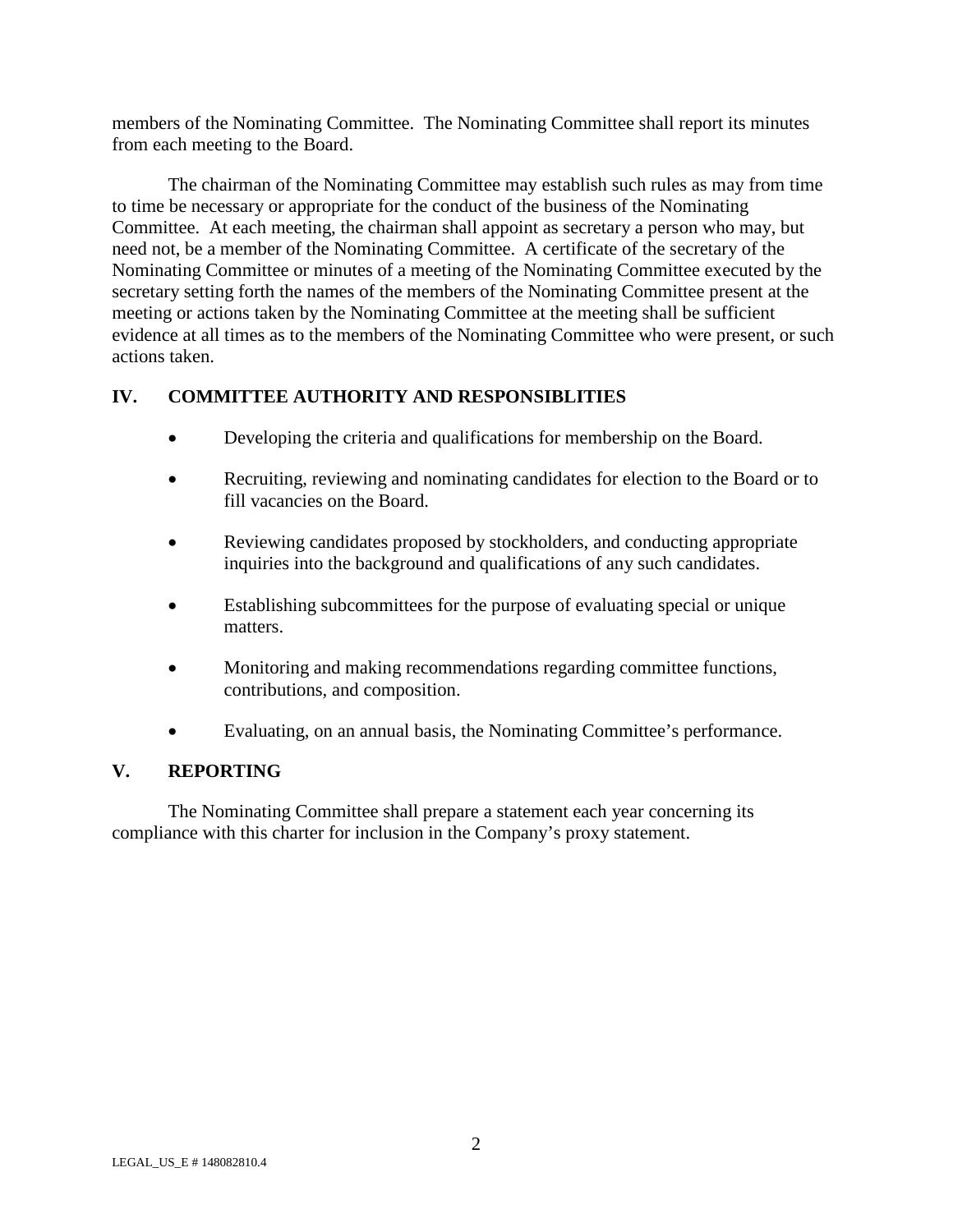members of the Nominating Committee. The Nominating Committee shall report its minutes from each meeting to the Board.

The chairman of the Nominating Committee may establish such rules as may from time to time be necessary or appropriate for the conduct of the business of the Nominating Committee. At each meeting, the chairman shall appoint as secretary a person who may, but need not, be a member of the Nominating Committee. A certificate of the secretary of the Nominating Committee or minutes of a meeting of the Nominating Committee executed by the secretary setting forth the names of the members of the Nominating Committee present at the meeting or actions taken by the Nominating Committee at the meeting shall be sufficient evidence at all times as to the members of the Nominating Committee who were present, or such actions taken.

# **IV. COMMITTEE AUTHORITY AND RESPONSIBLITIES**

- Developing the criteria and qualifications for membership on the Board.
- Recruiting, reviewing and nominating candidates for election to the Board or to fill vacancies on the Board.
- Reviewing candidates proposed by stockholders, and conducting appropriate inquiries into the background and qualifications of any such candidates.
- Establishing subcommittees for the purpose of evaluating special or unique matters.
- Monitoring and making recommendations regarding committee functions, contributions, and composition.
- Evaluating, on an annual basis, the Nominating Committee's performance.

# **V. REPORTING**

The Nominating Committee shall prepare a statement each year concerning its compliance with this charter for inclusion in the Company's proxy statement.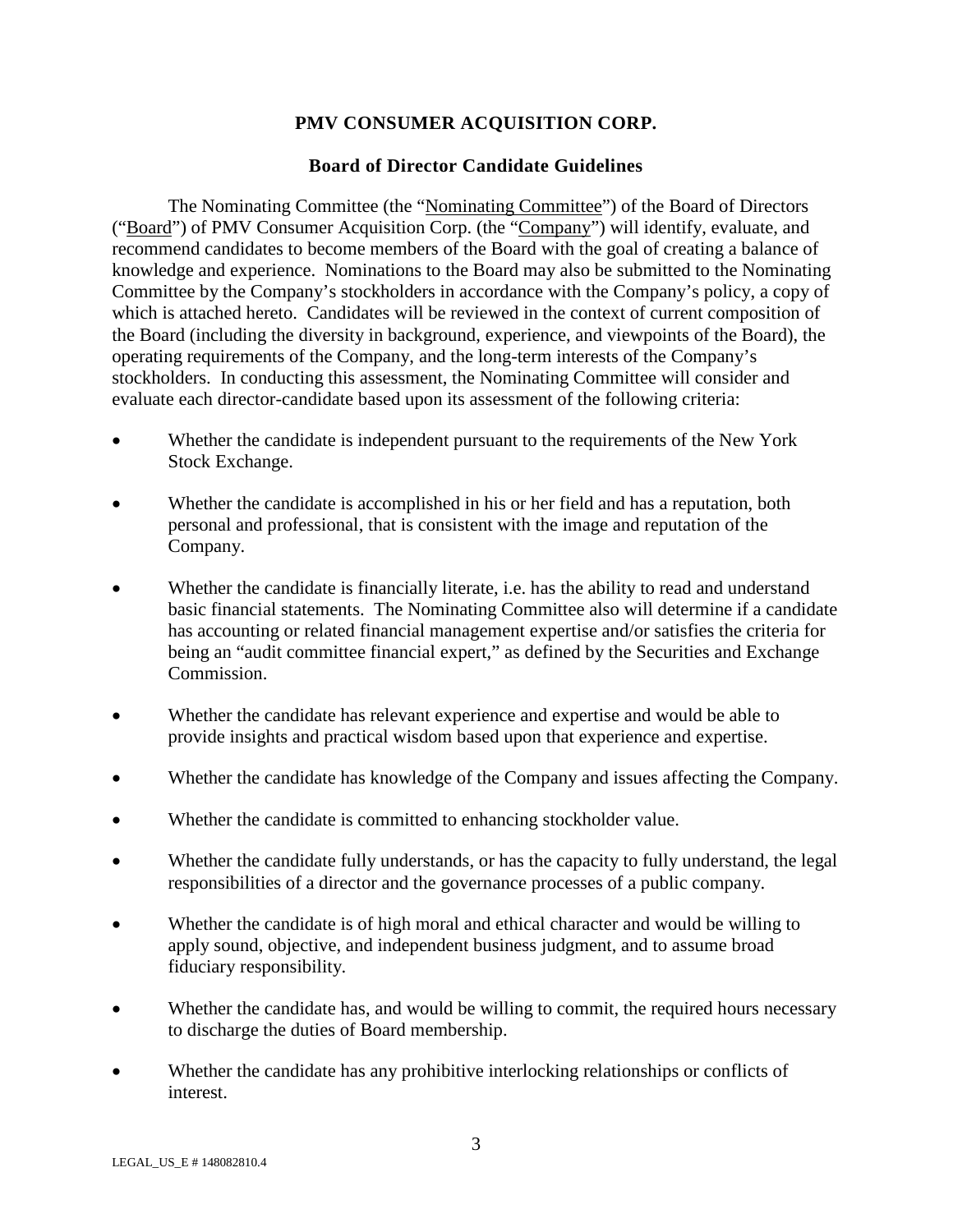# **PMV CONSUMER ACQUISITION CORP.**

### **Board of Director Candidate Guidelines**

The Nominating Committee (the "Nominating Committee") of the Board of Directors ("Board") of PMV Consumer Acquisition Corp. (the "Company") will identify, evaluate, and recommend candidates to become members of the Board with the goal of creating a balance of knowledge and experience. Nominations to the Board may also be submitted to the Nominating Committee by the Company's stockholders in accordance with the Company's policy, a copy of which is attached hereto. Candidates will be reviewed in the context of current composition of the Board (including the diversity in background, experience, and viewpoints of the Board), the operating requirements of the Company, and the long-term interests of the Company's stockholders. In conducting this assessment, the Nominating Committee will consider and evaluate each director-candidate based upon its assessment of the following criteria:

- Whether the candidate is independent pursuant to the requirements of the New York Stock Exchange.
- Whether the candidate is accomplished in his or her field and has a reputation, both personal and professional, that is consistent with the image and reputation of the Company.
- Whether the candidate is financially literate, i.e. has the ability to read and understand basic financial statements. The Nominating Committee also will determine if a candidate has accounting or related financial management expertise and/or satisfies the criteria for being an "audit committee financial expert," as defined by the Securities and Exchange Commission.
- Whether the candidate has relevant experience and expertise and would be able to provide insights and practical wisdom based upon that experience and expertise.
- Whether the candidate has knowledge of the Company and issues affecting the Company.
- Whether the candidate is committed to enhancing stockholder value.
- Whether the candidate fully understands, or has the capacity to fully understand, the legal responsibilities of a director and the governance processes of a public company.
- Whether the candidate is of high moral and ethical character and would be willing to apply sound, objective, and independent business judgment, and to assume broad fiduciary responsibility.
- Whether the candidate has, and would be willing to commit, the required hours necessary to discharge the duties of Board membership.
- Whether the candidate has any prohibitive interlocking relationships or conflicts of interest.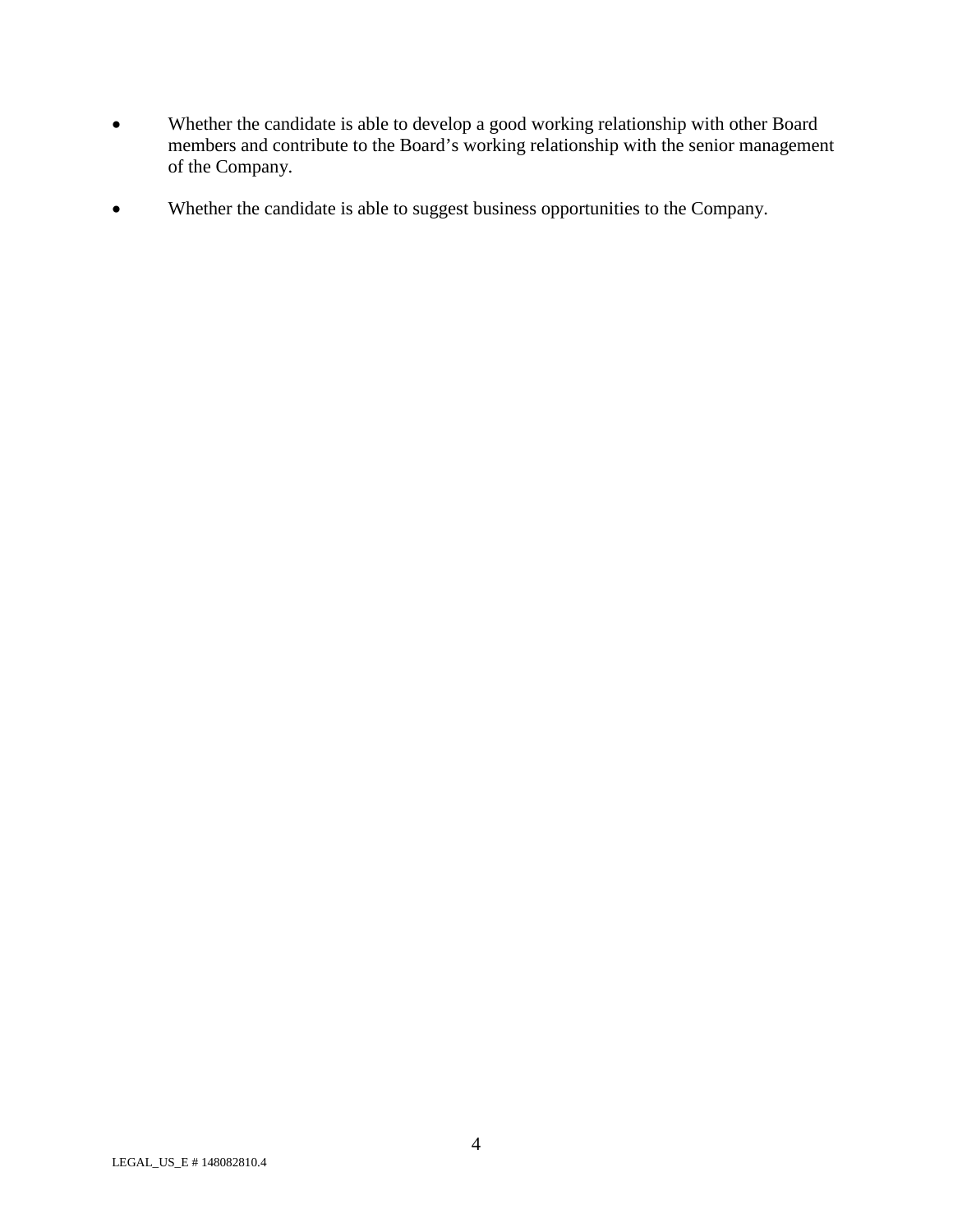- Whether the candidate is able to develop a good working relationship with other Board members and contribute to the Board's working relationship with the senior management of the Company.
- Whether the candidate is able to suggest business opportunities to the Company.